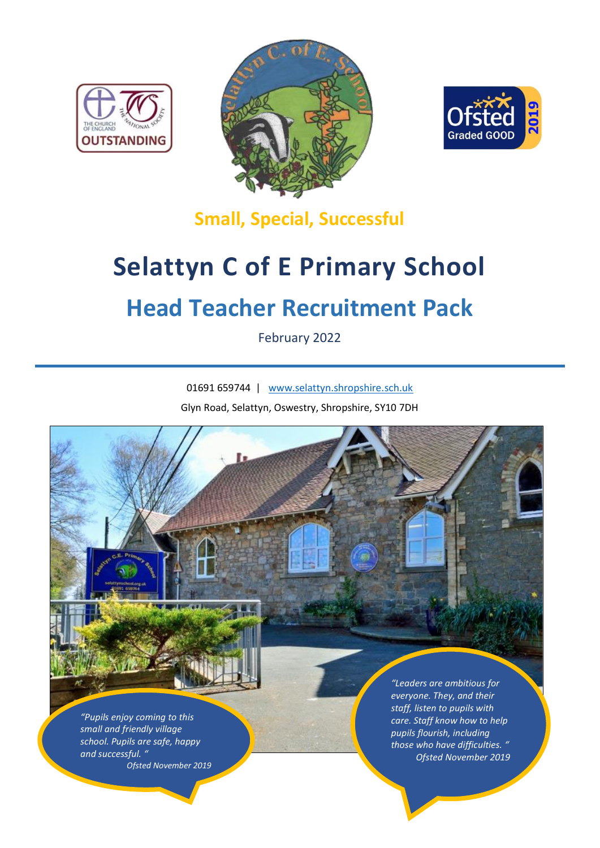





**Small, Special, Successful**

# **Selattyn C of E Primary School**

# **Head Teacher Recruitment Pack**

February 2022

01691 659744 | [www.selattyn.shropshire.sch.uk](http://www.selattyn.shropshire.sch.uk/) Glyn Road, Selattyn, Oswestry, Shropshire, SY10 7DH

*"Pupils enjoy coming to this small and friendly village school. Pupils are safe, happy and successful. " Ofsted November 2019*

*"Leaders are ambitious for everyone. They, and their staff, listen to pupils with care. Staff know how to help pupils flourish, including those who have difficulties. " Ofsted November 2019*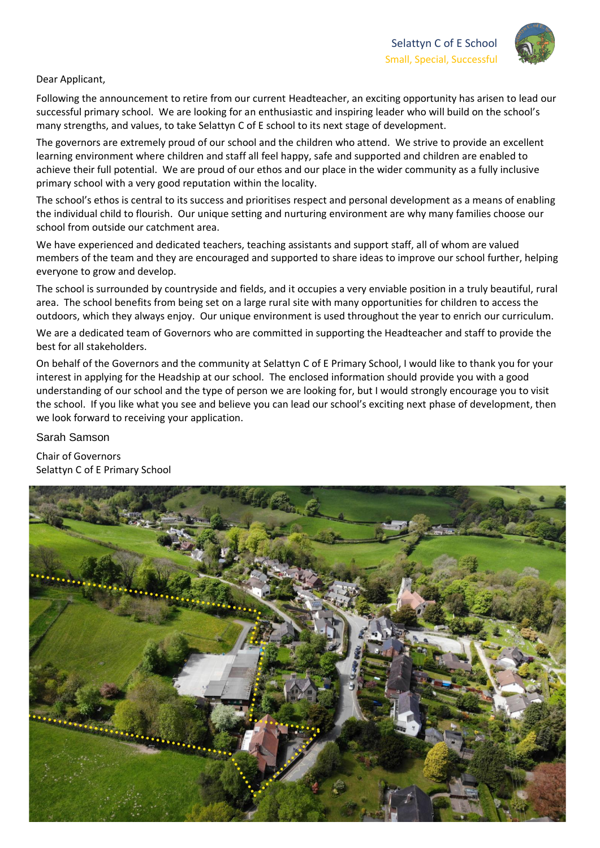

#### Dear Applicant,

Following the announcement to retire from our current Headteacher, an exciting opportunity has arisen to lead our successful primary school. We are looking for an enthusiastic and inspiring leader who will build on the school's many strengths, and values, to take Selattyn C of E school to its next stage of development.

The governors are extremely proud of our school and the children who attend. We strive to provide an excellent learning environment where children and staff all feel happy, safe and supported and children are enabled to achieve their full potential. We are proud of our ethos and our place in the wider community as a fully inclusive primary school with a very good reputation within the locality.

The school's ethos is central to its success and prioritises respect and personal development as a means of enabling the individual child to flourish. Our unique setting and nurturing environment are why many families choose our school from outside our catchment area.

We have experienced and dedicated teachers, teaching assistants and support staff, all of whom are valued members of the team and they are encouraged and supported to share ideas to improve our school further, helping everyone to grow and develop.

The school is surrounded by countryside and fields, and it occupies a very enviable position in a truly beautiful, rural area. The school benefits from being set on a large rural site with many opportunities for children to access the outdoors, which they always enjoy. Our unique environment is used throughout the year to enrich our curriculum.

We are a dedicated team of Governors who are committed in supporting the Headteacher and staff to provide the best for all stakeholders.

On behalf of the Governors and the community at Selattyn C of E Primary School, I would like to thank you for your interest in applying for the Headship at our school. The enclosed information should provide you with a good understanding of our school and the type of person we are looking for, but I would strongly encourage you to visit the school. If you like what you see and believe you can lead our school's exciting next phase of development, then we look forward to receiving your application.

Sarah Samson

Chair of Governors Selattyn C of E Primary School

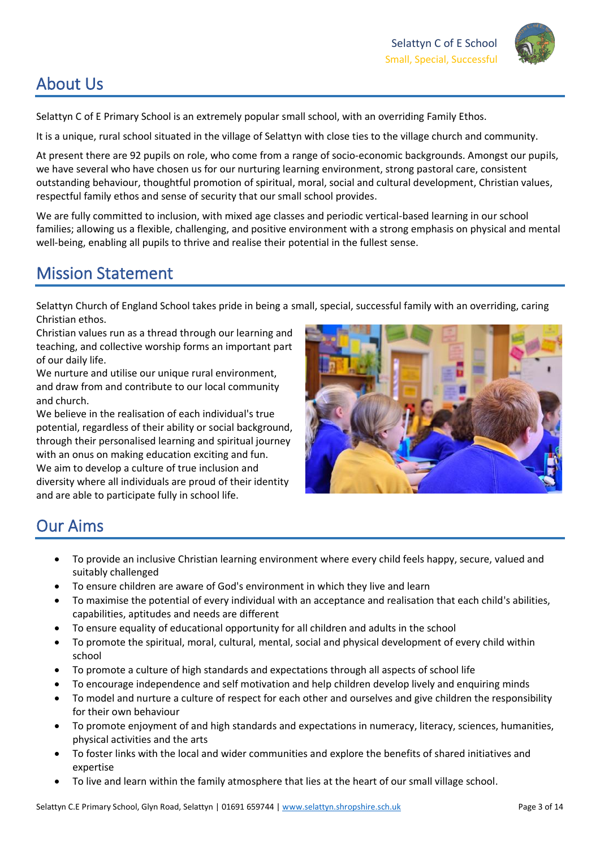

# About Us

Selattyn C of E Primary School is an extremely popular small school, with an overriding Family Ethos.

It is a unique, rural school situated in the village of Selattyn with close ties to the village church and community.

At present there are 92 pupils on role, who come from a range of socio-economic backgrounds. Amongst our pupils, we have several who have chosen us for our nurturing learning environment, strong pastoral care, consistent outstanding behaviour, thoughtful promotion of spiritual, moral, social and cultural development, Christian values, respectful family ethos and sense of security that our small school provides.

We are fully committed to inclusion, with mixed age classes and periodic vertical-based learning in our school families; allowing us a flexible, challenging, and positive environment with a strong emphasis on physical and mental well-being, enabling all pupils to thrive and realise their potential in the fullest sense.

# Mission Statement

Selattyn Church of England School takes pride in being a small, special, successful family with an overriding, caring Christian ethos.

Christian values run as a thread through our learning and teaching, and collective worship forms an important part of our daily life.

We nurture and utilise our unique rural environment, and draw from and contribute to our local community and church.

We believe in the realisation of each individual's true potential, regardless of their ability or social background, through their personalised learning and spiritual journey with an onus on making education exciting and fun. We aim to develop a culture of true inclusion and diversity where all individuals are proud of their identity and are able to participate fully in school life.



# Our Aims

- To provide an inclusive Christian learning environment where every child feels happy, secure, valued and suitably challenged
- To ensure children are aware of God's environment in which they live and learn
- To maximise the potential of every individual with an acceptance and realisation that each child's abilities, capabilities, aptitudes and needs are different
- To ensure equality of educational opportunity for all children and adults in the school
- To promote the spiritual, moral, cultural, mental, social and physical development of every child within school
- To promote a culture of high standards and expectations through all aspects of school life
- To encourage independence and self motivation and help children develop lively and enquiring minds
- To model and nurture a culture of respect for each other and ourselves and give children the responsibility for their own behaviour
- To promote enjoyment of and high standards and expectations in numeracy, literacy, sciences, humanities, physical activities and the arts
- To foster links with the local and wider communities and explore the benefits of shared initiatives and expertise
- To live and learn within the family atmosphere that lies at the heart of our small village school.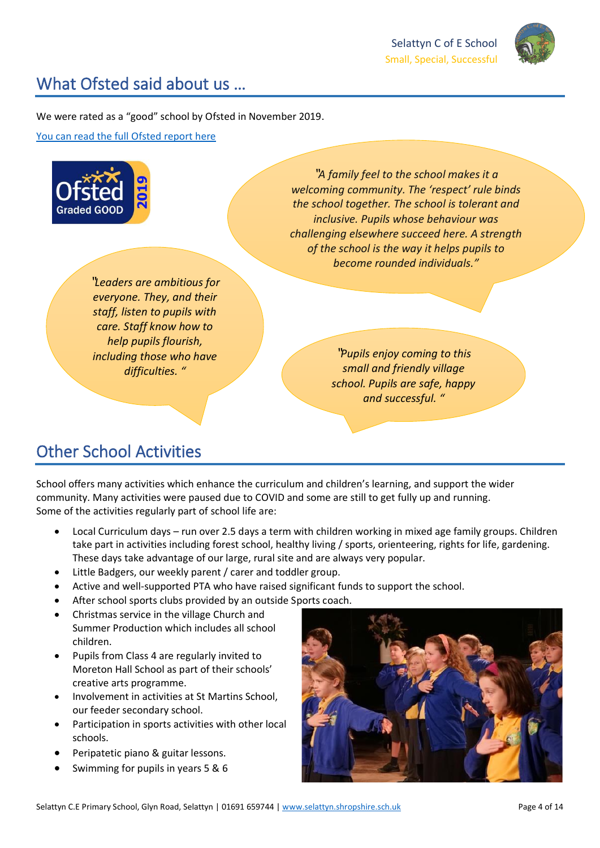

## What Ofsted said about us …

We were rated as a "good" school by Ofsted in November 2019.

[You can read the full Ofsted report here](https://reports.ofsted.gov.uk/provider/21/123499)



# Other School Activities

School offers many activities which enhance the curriculum and children's learning, and support the wider community. Many activities were paused due to COVID and some are still to get fully up and running. Some of the activities regularly part of school life are:

- Local Curriculum days run over 2.5 days a term with children working in mixed age family groups. Children take part in activities including forest school, healthy living / sports, orienteering, rights for life, gardening. These days take advantage of our large, rural site and are always very popular.
- Little Badgers, our weekly parent / carer and toddler group.
- Active and well-supported PTA who have raised significant funds to support the school.
- After school sports clubs provided by an outside Sports coach.
- Christmas service in the village Church and Summer Production which includes all school children.
- Pupils from Class 4 are regularly invited to Moreton Hall School as part of their schools' creative arts programme.
- Involvement in activities at St Martins School, our feeder secondary school.
- Participation in sports activities with other local schools.
- Peripatetic piano & guitar lessons.
- Swimming for pupils in years 5 & 6

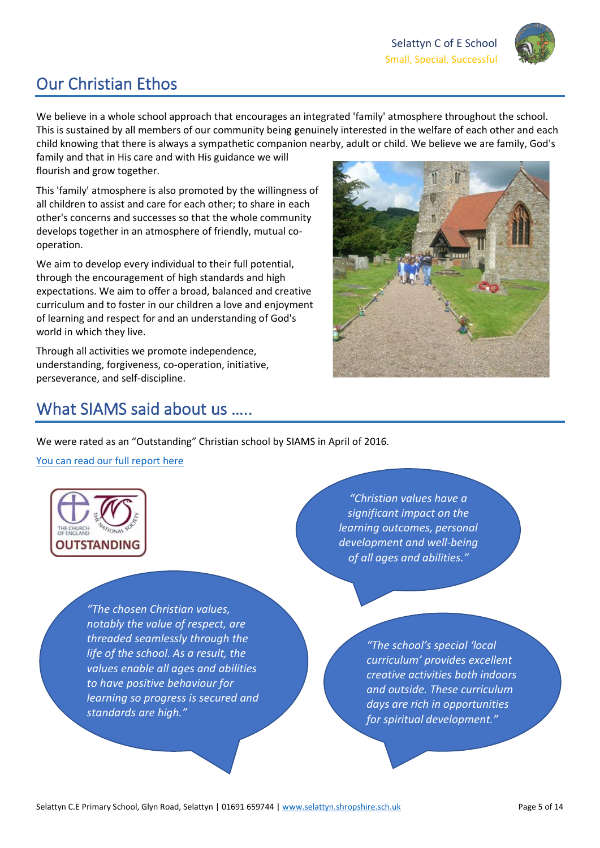

# Our Christian Ethos

We believe in a whole school approach that encourages an integrated 'family' atmosphere throughout the school. This is sustained by all members of our community being genuinely interested in the welfare of each other and each child knowing that there is always a sympathetic companion nearby, adult or child. We believe we are family, God's

family and that in His care and with His guidance we will flourish and grow together.

This 'family' atmosphere is also promoted by the willingness of all children to assist and care for each other; to share in each other's concerns and successes so that the whole community develops together in an atmosphere of friendly, mutual cooperation.

We aim to develop every individual to their full potential, through the encouragement of high standards and high expectations. We aim to offer a broad, balanced and creative curriculum and to foster in our children a love and enjoyment of learning and respect for and an understanding of God's world in which they live.

Through all activities we promote independence, understanding, forgiveness, co-operation, initiative, perseverance, and self-discipline.



## What SIAMS said about us .....

We were rated as an "Outstanding" Christian school by SIAMS in April of 2016.

[You can read our full report here](https://www.selattyn.shropshire.sch.uk/_files/ugd/a2ef7e_7a0ae28f254b49efadb1b5e37a43a477.pdf)



 $\overline{\phantom{a}}$ 

 *to have positive behaviour for "The chosen Christian values, notably the value of respect, are threaded seamlessly through the life of the school. As a result, the values enable all ages and abilities learning so progress is secured and standards are high."*

*"Christian values have a significant impact on the learning outcomes, personal development and well-being of all ages and abilities."*

> *"The school's special 'local curriculum' provides excellent creative activities both indoors and outside. These curriculum days are rich in opportunities for spiritual development."*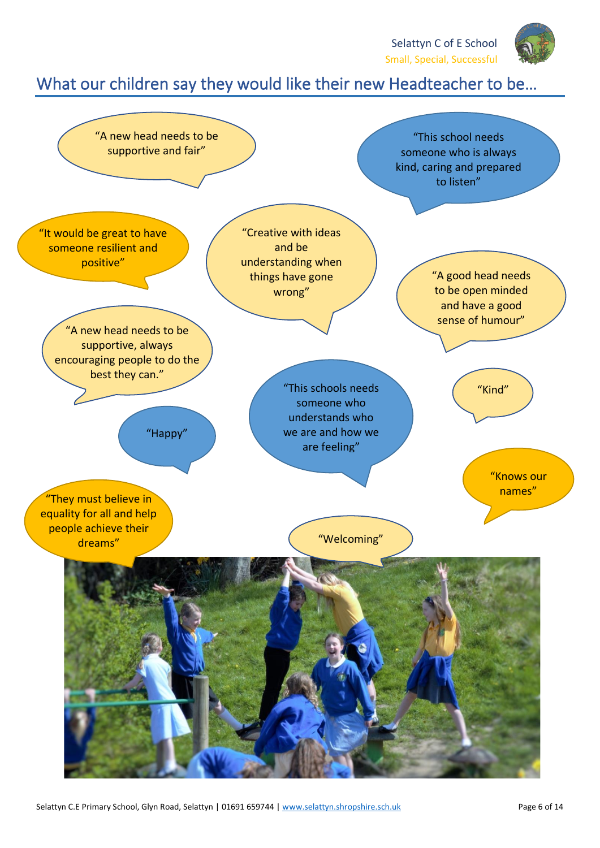

# What our children say they would like their new Headteacher to be…

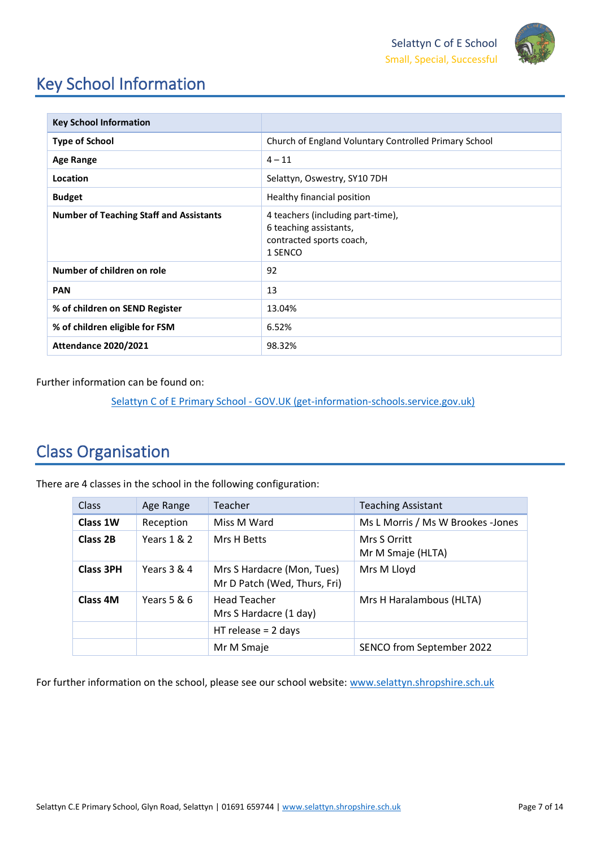

# Key School Information

| <b>Key School Information</b>                  |                                                                                                    |
|------------------------------------------------|----------------------------------------------------------------------------------------------------|
| <b>Type of School</b>                          | Church of England Voluntary Controlled Primary School                                              |
| <b>Age Range</b>                               | $4 - 11$                                                                                           |
| Location                                       | Selattyn, Oswestry, SY10 7DH                                                                       |
| <b>Budget</b>                                  | Healthy financial position                                                                         |
| <b>Number of Teaching Staff and Assistants</b> | 4 teachers (including part-time),<br>6 teaching assistants,<br>contracted sports coach,<br>1 SENCO |
| Number of children on role                     | 92                                                                                                 |
| <b>PAN</b>                                     | 13                                                                                                 |
| % of children on SEND Register                 | 13.04%                                                                                             |
| % of children eligible for FSM                 | 6.52%                                                                                              |
| <b>Attendance 2020/2021</b>                    | 98.32%                                                                                             |

Further information can be found on:

Selattyn C of E Primary School - [GOV.UK \(get-information-schools.service.gov.uk\)](https://www.get-information-schools.service.gov.uk/Establishments/Establishment/Details/123499)

# Class Organisation

There are 4 classes in the school in the following configuration:

| Class            | Age Range   | Teacher                                                    | <b>Teaching Assistant</b>         |
|------------------|-------------|------------------------------------------------------------|-----------------------------------|
| Class 1W         | Reception   | Miss M Ward                                                | Ms L Morris / Ms W Brookes -Jones |
| Class 2B         | Years 1 & 2 | Mrs H Betts                                                | Mrs S Orritt<br>Mr M Smaje (HLTA) |
| <b>Class 3PH</b> | Years 3 & 4 | Mrs S Hardacre (Mon, Tues)<br>Mr D Patch (Wed, Thurs, Fri) | Mrs M Lloyd                       |
| Class 4M         | Years 5 & 6 | <b>Head Teacher</b><br>Mrs S Hardacre (1 day)              | Mrs H Haralambous (HLTA)          |
|                  |             | $HT$ release = 2 days                                      |                                   |
|                  |             | Mr M Smaje                                                 | SENCO from September 2022         |

For further information on the school, please see our school website: [www.selattyn.shropshire.sch.uk](http://www.selattyn.shropshire.sch.uk/)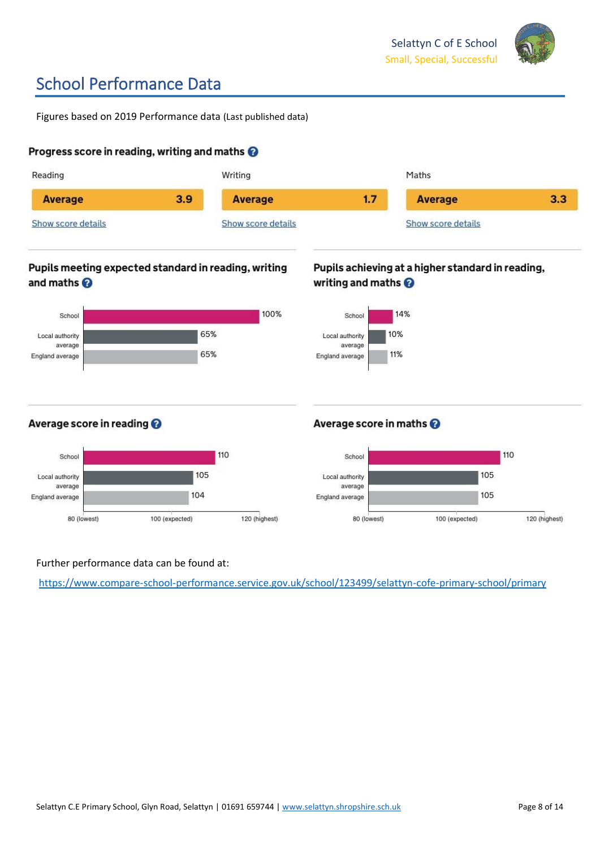

# School Performance Data

Figures based on 2019 Performance data (Last published data)

## Progress score in reading, writing and maths <sup>@</sup>



## Further performance data can be found at:

<https://www.compare-school-performance.service.gov.uk/school/123499/selattyn-cofe-primary-school/primary>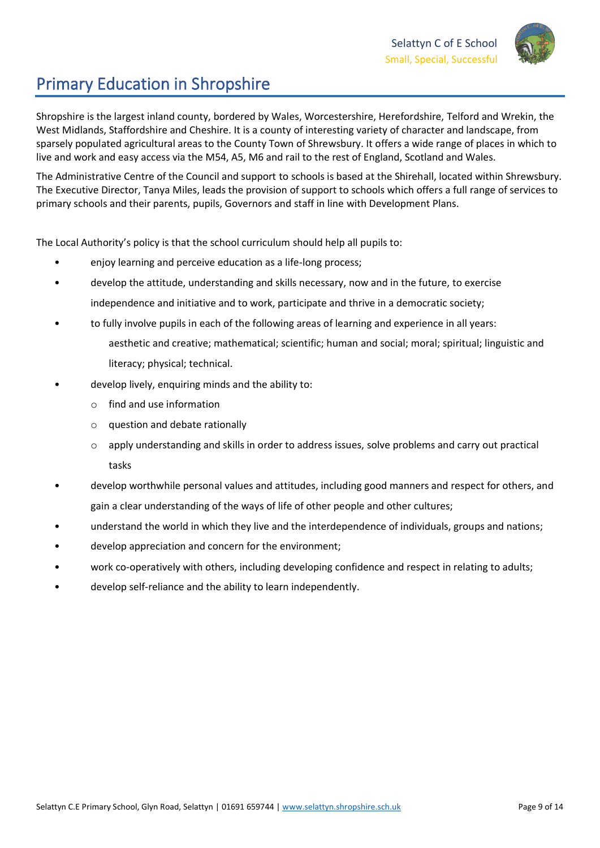

# Primary Education in Shropshire

Shropshire is the largest inland county, bordered by Wales, Worcestershire, Herefordshire, Telford and Wrekin, the West Midlands, Staffordshire and Cheshire. It is a county of interesting variety of character and landscape, from sparsely populated agricultural areas to the County Town of Shrewsbury. It offers a wide range of places in which to live and work and easy access via the M54, A5, M6 and rail to the rest of England, Scotland and Wales.

The Administrative Centre of the Council and support to schools is based at the Shirehall, located within Shrewsbury. The Executive Director, Tanya Miles, leads the provision of support to schools which offers a full range of services to primary schools and their parents, pupils, Governors and staff in line with Development Plans.

The Local Authority's policy is that the school curriculum should help all pupils to:

- enjoy learning and perceive education as a life-long process;
- develop the attitude, understanding and skills necessary, now and in the future, to exercise independence and initiative and to work, participate and thrive in a democratic society;
- to fully involve pupils in each of the following areas of learning and experience in all years: aesthetic and creative; mathematical; scientific; human and social; moral; spiritual; linguistic and literacy; physical; technical.
- develop lively, enquiring minds and the ability to:
	- $\circ$  find and use information
	- o question and debate rationally
	- $\circ$  apply understanding and skills in order to address issues, solve problems and carry out practical tasks
- develop worthwhile personal values and attitudes, including good manners and respect for others, and gain a clear understanding of the ways of life of other people and other cultures;
- understand the world in which they live and the interdependence of individuals, groups and nations;
- develop appreciation and concern for the environment;
- work co-operatively with others, including developing confidence and respect in relating to adults;
- develop self-reliance and the ability to learn independently.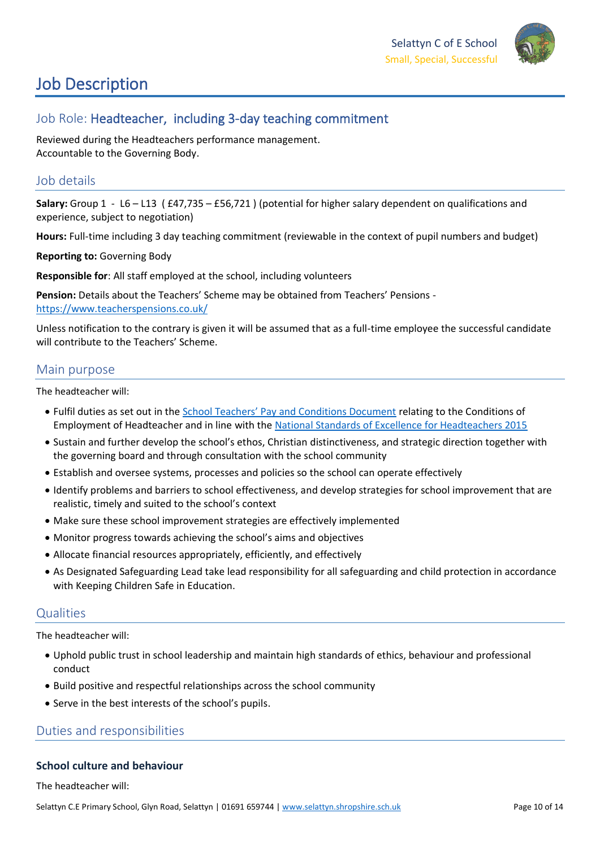

# Job Description

## Job Role: Headteacher, including 3-day teaching commitment

Reviewed during the Headteachers performance management. Accountable to the Governing Body.

## Job details

**Salary:** Group 1 - L6 – L13 ( £47,735 – £56,721 ) (potential for higher salary dependent on qualifications and experience, subject to negotiation)

**Hours:** Full-time including 3 day teaching commitment (reviewable in the context of pupil numbers and budget)

**Reporting to:** Governing Body

**Responsible for**: All staff employed at the school, including volunteers

**Pension:** Details about the Teachers' Scheme may be obtained from Teachers' Pensions <https://www.teacherspensions.co.uk/>

Unless notification to the contrary is given it will be assumed that as a full-time employee the successful candidate will contribute to the Teachers' Scheme.

## Main purpose

The headteacher will:

- Fulfil duties as set out in the [School Teachers' Pay and Conditions Document](https://www.gov.uk/government/publications/school-teachers-pay-and-conditions) relating to the Conditions of Employment of Headteacher and in line with the [National Standards of Excellence for Headteachers 2015](https://assets.publishing.service.gov.uk/government/uploads/system/uploads/attachment_data/file/919637/National_Standards_of_Excellence_for_Headteachers.pdf)
- Sustain and further develop the school's ethos, Christian distinctiveness, and strategic direction together with the governing board and through consultation with the school community
- Establish and oversee systems, processes and policies so the school can operate effectively
- Identify problems and barriers to school effectiveness, and develop strategies for school improvement that are realistic, timely and suited to the school's context
- Make sure these school improvement strategies are effectively implemented
- Monitor progress towards achieving the school's aims and objectives
- Allocate financial resources appropriately, efficiently, and effectively
- As Designated Safeguarding Lead take lead responsibility for all safeguarding and child protection in accordance with Keeping Children Safe in Education.

## Qualities

The headteacher will:

- Uphold public trust in school leadership and maintain high standards of ethics, behaviour and professional conduct
- Build positive and respectful relationships across the school community
- Serve in the best interests of the school's pupils.

## Duties and responsibilities

## **School culture and behaviour**

The headteacher will: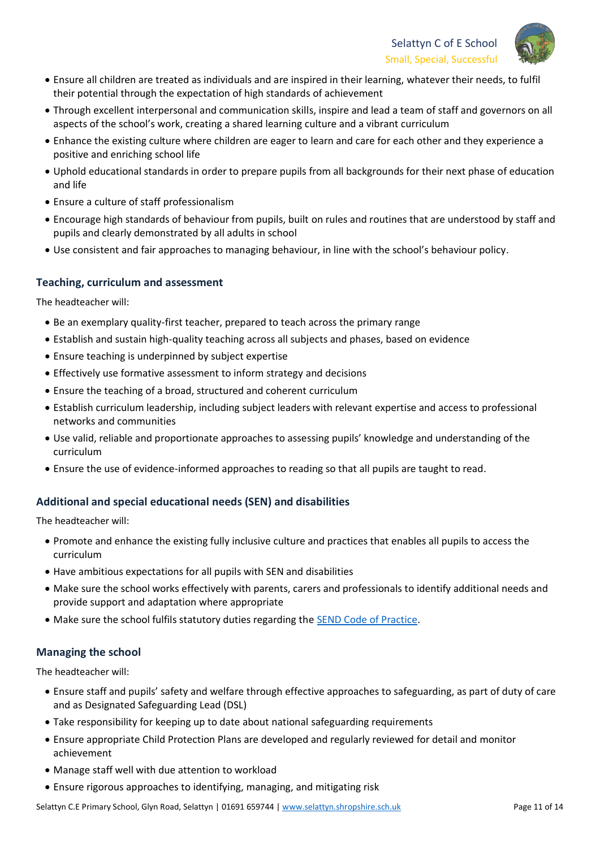

- Ensure all children are treated as individuals and are inspired in their learning, whatever their needs, to fulfil their potential through the expectation of high standards of achievement
- Through excellent interpersonal and communication skills, inspire and lead a team of staff and governors on all aspects of the school's work, creating a shared learning culture and a vibrant curriculum
- Enhance the existing culture where children are eager to learn and care for each other and they experience a positive and enriching school life
- Uphold educational standards in order to prepare pupils from all backgrounds for their next phase of education and life
- Ensure a culture of staff professionalism
- Encourage high standards of behaviour from pupils, built on rules and routines that are understood by staff and pupils and clearly demonstrated by all adults in school
- Use consistent and fair approaches to managing behaviour, in line with the school's behaviour policy.

## **Teaching, curriculum and assessment**

The headteacher will:

- Be an exemplary quality-first teacher, prepared to teach across the primary range
- Establish and sustain high-quality teaching across all subjects and phases, based on evidence
- Ensure teaching is underpinned by subject expertise
- Effectively use formative assessment to inform strategy and decisions
- Ensure the teaching of a broad, structured and coherent curriculum
- Establish curriculum leadership, including subject leaders with relevant expertise and access to professional networks and communities
- Use valid, reliable and proportionate approaches to assessing pupils' knowledge and understanding of the curriculum
- Ensure the use of evidence-informed approaches to reading so that all pupils are taught to read.

## **Additional and special educational needs (SEN) and disabilities**

The headteacher will:

- Promote and enhance the existing fully inclusive culture and practices that enables all pupils to access the curriculum
- Have ambitious expectations for all pupils with SEN and disabilities
- Make sure the school works effectively with parents, carers and professionals to identify additional needs and provide support and adaptation where appropriate
- Make sure the school fulfils statutory duties regarding the [SEND Code of Practice.](https://www.gov.uk/government/publications/send-code-of-practice-0-to-25)

## **Managing the school**

The headteacher will:

- Ensure staff and pupils' safety and welfare through effective approaches to safeguarding, as part of duty of care and as Designated Safeguarding Lead (DSL)
- Take responsibility for keeping up to date about national safeguarding requirements
- Ensure appropriate Child Protection Plans are developed and regularly reviewed for detail and monitor achievement
- Manage staff well with due attention to workload
- Ensure rigorous approaches to identifying, managing, and mitigating risk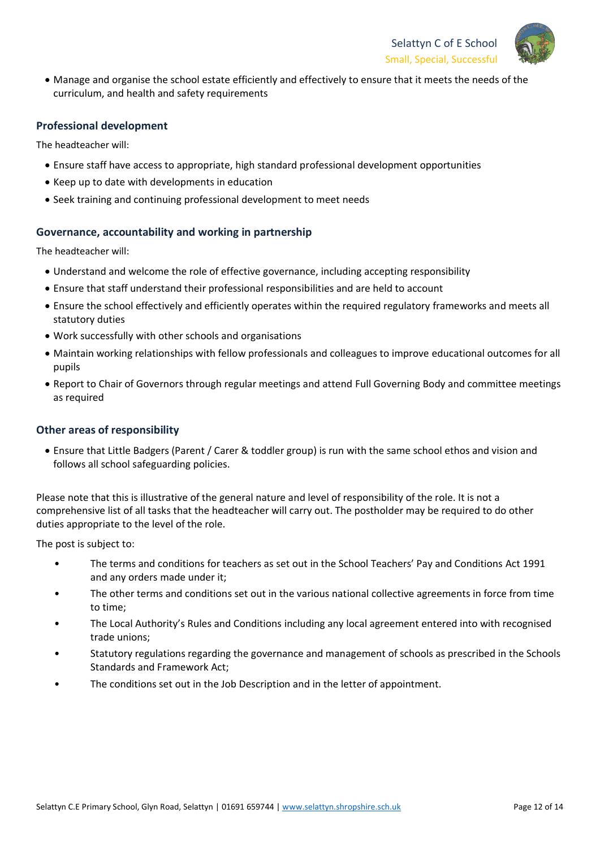

• Manage and organise the school estate efficiently and effectively to ensure that it meets the needs of the curriculum, and health and safety requirements

## **Professional development**

The headteacher will:

- Ensure staff have access to appropriate, high standard professional development opportunities
- Keep up to date with developments in education
- Seek training and continuing professional development to meet needs

#### **Governance, accountability and working in partnership**

The headteacher will:

- Understand and welcome the role of effective governance, including accepting responsibility
- Ensure that staff understand their professional responsibilities and are held to account
- Ensure the school effectively and efficiently operates within the required regulatory frameworks and meets all statutory duties
- Work successfully with other schools and organisations
- Maintain working relationships with fellow professionals and colleagues to improve educational outcomes for all pupils
- Report to Chair of Governors through regular meetings and attend Full Governing Body and committee meetings as required

### **Other areas of responsibility**

• Ensure that Little Badgers (Parent / Carer & toddler group) is run with the same school ethos and vision and follows all school safeguarding policies.

Please note that this is illustrative of the general nature and level of responsibility of the role. It is not a comprehensive list of all tasks that the headteacher will carry out. The postholder may be required to do other duties appropriate to the level of the role.

The post is subject to:

- The terms and conditions for teachers as set out in the School Teachers' Pay and Conditions Act 1991 and any orders made under it;
- The other terms and conditions set out in the various national collective agreements in force from time to time;
- The Local Authority's Rules and Conditions including any local agreement entered into with recognised trade unions;
- Statutory regulations regarding the governance and management of schools as prescribed in the Schools Standards and Framework Act;
- The conditions set out in the Job Description and in the letter of appointment.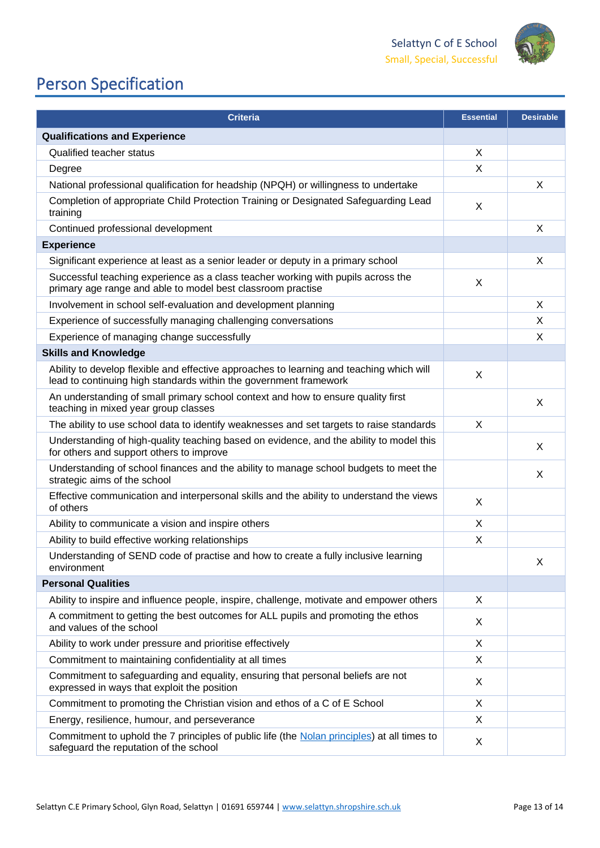

# Person Specification

| <b>Criteria</b>                                                                                                                                               |          | <b>Desirable</b> |
|---------------------------------------------------------------------------------------------------------------------------------------------------------------|----------|------------------|
| <b>Qualifications and Experience</b>                                                                                                                          |          |                  |
| Qualified teacher status                                                                                                                                      |          |                  |
| Degree                                                                                                                                                        | X        |                  |
| National professional qualification for headship (NPQH) or willingness to undertake                                                                           |          | $\times$         |
| Completion of appropriate Child Protection Training or Designated Safeguarding Lead<br>training                                                               | X        |                  |
| Continued professional development                                                                                                                            |          | $\times$         |
| <b>Experience</b>                                                                                                                                             |          |                  |
| Significant experience at least as a senior leader or deputy in a primary school                                                                              |          | X                |
| Successful teaching experience as a class teacher working with pupils across the<br>primary age range and able to model best classroom practise               |          |                  |
| Involvement in school self-evaluation and development planning                                                                                                |          | X                |
| Experience of successfully managing challenging conversations                                                                                                 |          | X                |
| Experience of managing change successfully                                                                                                                    |          | X                |
| <b>Skills and Knowledge</b>                                                                                                                                   |          |                  |
| Ability to develop flexible and effective approaches to learning and teaching which will<br>lead to continuing high standards within the government framework | $\times$ |                  |
| An understanding of small primary school context and how to ensure quality first<br>teaching in mixed year group classes                                      |          | X                |
| The ability to use school data to identify weaknesses and set targets to raise standards                                                                      | X        |                  |
| Understanding of high-quality teaching based on evidence, and the ability to model this<br>for others and support others to improve                           |          | X                |
| Understanding of school finances and the ability to manage school budgets to meet the<br>strategic aims of the school                                         |          | X                |
| Effective communication and interpersonal skills and the ability to understand the views<br>of others                                                         | X        |                  |
| Ability to communicate a vision and inspire others                                                                                                            | X        |                  |
| Ability to build effective working relationships                                                                                                              | X        |                  |
| Understanding of SEND code of practise and how to create a fully inclusive learning<br>environment                                                            |          | X                |
| <b>Personal Qualities</b>                                                                                                                                     |          |                  |
| Ability to inspire and influence people, inspire, challenge, motivate and empower others                                                                      | X        |                  |
| A commitment to getting the best outcomes for ALL pupils and promoting the ethos<br>and values of the school                                                  | X        |                  |
| Ability to work under pressure and prioritise effectively                                                                                                     | X        |                  |
| Commitment to maintaining confidentiality at all times                                                                                                        | X        |                  |
| Commitment to safeguarding and equality, ensuring that personal beliefs are not<br>expressed in ways that exploit the position                                | X        |                  |
| Commitment to promoting the Christian vision and ethos of a C of E School                                                                                     | X        |                  |
| Energy, resilience, humour, and perseverance                                                                                                                  | X        |                  |
| Commitment to uphold the 7 principles of public life (the Nolan principles) at all times to<br>safeguard the reputation of the school                         |          |                  |